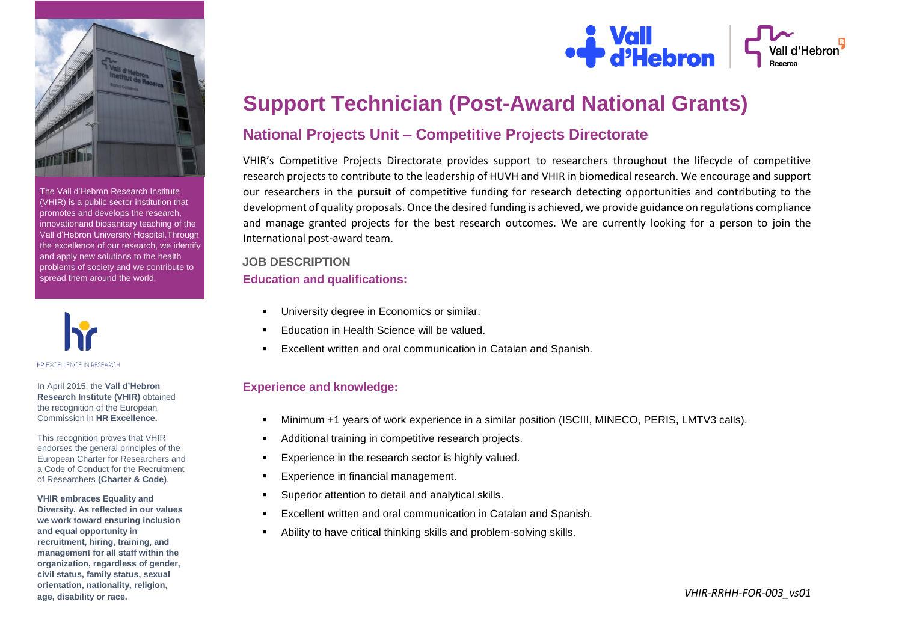

The Vall d'Hebron Research Institute (VHIR) is a public sector institution that promotes and develops the research, innovationand biosanitary teaching of the Vall d'Hebron University Hospital.Through the excellence of our research, we identify and apply new solutions to the health problems of society and we contribute to spread them around the world.



In April 2015, the **Vall d'Hebron Research Institute (VHIR)** obtained the recognition of the European Commission in **HR Excellence.**

This recognition proves that VHIR endorses the general principles of the European Charter for Researchers and a Code of Conduct for the Recruitment of Researchers **(Charter & Code)**.

**VHIR embraces Equality and Diversity. As reflected in our values we work toward ensuring inclusion and equal opportunity in recruitment, hiring, training, and management for all staff within the organization, regardless of gender, civil status, family status, sexual orientation, nationality, religion, age, disability or race.**



**S**<br>**P** d'Hebron

## **National Projects Unit – Competitive Projects Directorate**

VHIR's Competitive Projects Directorate provides support to researchers throughout the lifecycle of competitive research projects to contribute to the leadership of HUVH and VHIR in biomedical research. We encourage and support our researchers in the pursuit of competitive funding for research detecting opportunities and contributing to the development of quality proposals. Once the desired funding is achieved, we provide guidance on regulations compliance and manage granted projects for the best research outcomes. We are currently looking for a person to join the International post-award team.

# **JOB DESCRIPTION**

#### **Education and qualifications:**

- University degree in Economics or similar.
- Education in Health Science will be valued.
- Excellent written and oral communication in Catalan and Spanish.

#### **Experience and knowledge:**

- Minimum +1 years of work experience in a similar position (ISCIII, MINECO, PERIS, LMTV3 calls).
- Additional training in competitive research projects.
- Experience in the research sector is highly valued.
- Experience in financial management.
- Superior attention to detail and analytical skills.
- Excellent written and oral communication in Catalan and Spanish.
- Ability to have critical thinking skills and problem-solving skills.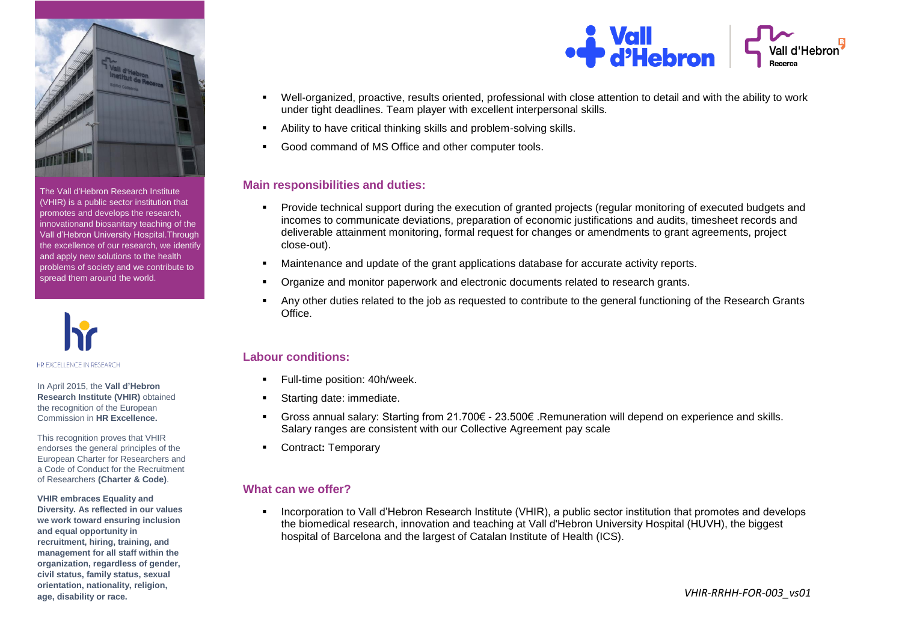

The Vall d'Hebron Research Institute (VHIR) is a public sector institution that promotes and develops the research, innovationand biosanitary teaching of the Vall d'Hebron University Hospital.Through the excellence of our research, we identify and apply new solutions to the health problems of society and we contribute to spread them around the world.



In April 2015, the **Vall d'Hebron Research Institute (VHIR)** obtained the recognition of the European Commission in **HR Excellence.**

This recognition proves that VHIR endorses the general principles of the European Charter for Researchers and a Code of Conduct for the Recruitment of Researchers **(Charter & Code)**.

**VHIR embraces Equality and Diversity. As reflected in our values we work toward ensuring inclusion and equal opportunity in recruitment, hiring, training, and management for all staff within the organization, regardless of gender, civil status, family status, sexual orientation, nationality, religion, age, disability or race.**



- Well-organized, proactive, results oriented, professional with close attention to detail and with the ability to work under tight deadlines. Team player with excellent interpersonal skills.
- Ability to have critical thinking skills and problem-solving skills.
- Good command of MS Office and other computer tools.

#### **Main responsibilities and duties:**

- Provide technical support during the execution of granted projects (regular monitoring of executed budgets and incomes to communicate deviations, preparation of economic justifications and audits, timesheet records and deliverable attainment monitoring, formal request for changes or amendments to grant agreements, project close-out).
- Maintenance and update of the grant applications database for accurate activity reports.
- Organize and monitor paperwork and electronic documents related to research grants.
- Any other duties related to the job as requested to contribute to the general functioning of the Research Grants Office.

### **Labour conditions:**

- Full-time position: 40h/week.
- Starting date: immediate.
- Gross annual salary: Starting from 21.700€ 23.500€ .Remuneration will depend on experience and skills. Salary ranges are consistent with our Collective Agreement pay scale
- Contract**:** Temporary

### **What can we offer?**

 Incorporation to Vall d'Hebron Research Institute (VHIR), a public sector institution that promotes and develops the biomedical research, innovation and teaching at Vall d'Hebron University Hospital (HUVH), the biggest hospital of Barcelona and the largest of Catalan Institute of Health (ICS).